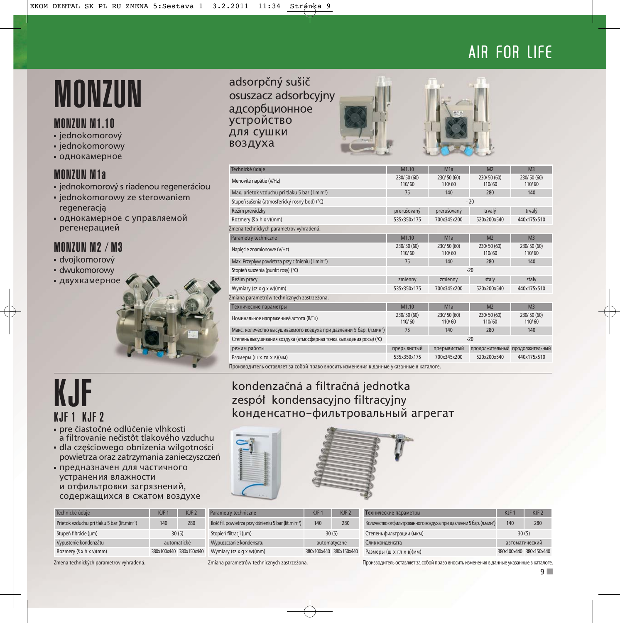### AIR FOR LIFE

## **MONZUN** adsorpčný sušič

#### MONZUN M1.10

- jednokomorový
- jednokomorowy
- однокамерное

### MONZUN M1a

- jednokomorový s riadenou regeneráciou
- jednokomorowy ze sterowaniem regeneracją
- однокамерное с управляемой регенерацией

### MONZUN M2 / M3

- dvojkomorový
- dwukomorowy
- двухкамерное



## KJF

- pre čiastočné odlúčenie vlhkosti a filtrovanie nečistôt tlakového vzduchu
- dla częściowego obnizenia wilgotności powietrza oraz zatrzymania zanieczyszczeń
- предназначен для частичного устранения влажности и отфильтровки загрязнений, содержащихся в сжатом воздухе

| Technické údaje                             | $K$ J $F$ 1 | $K$ J $F$ 2             | Pa         |
|---------------------------------------------|-------------|-------------------------|------------|
| Prietok vzduchu pri tlaku 5 bar (lit.min-1) | 140<br>280  |                         | llo.       |
| Stupeň filtrácie (µm)                       | 30(5)       |                         | <b>Sto</b> |
| Vypustenie kondenzátu                       | automatické |                         | W          |
| Rozmery (š x h x v)(mm)                     |             | 380x100x440 380x150x440 | W          |

osuszacz adsorbcyjny адсорбционное устройство для сушки воздуха





| Technické údaje                                                      | M <sub>1.10</sub>     | M <sub>1</sub> a      | M <sub>2</sub>                  | M <sub>3</sub>        |
|----------------------------------------------------------------------|-----------------------|-----------------------|---------------------------------|-----------------------|
| Menovité napätie (V/Hz)                                              | 230/50 (60)<br>110/60 | 230/50 (60)<br>110/60 | 230/50 (60)<br>110/60           | 230/50 (60)<br>110/60 |
| Max. prietok vzduchu pri tlaku 5 bar (l.min-1)                       | 75                    | 140                   | 280                             | 140                   |
| Stupeň sušenia (atmosferický rosný bod) (°C)                         |                       |                       | $-20$                           |                       |
| Režim prevádzky                                                      | prerušovaný           | prerušovaný           | trvalý                          | trvalý                |
| Rozmery (š x h x v)(mm)                                              | 535x350x175           | 700x345x200           | 520x200x540                     | 440x175x510           |
| Zmena technických parametrov vyhradená.                              |                       |                       |                                 |                       |
| Parametry techniczne                                                 | M <sub>1.10</sub>     | M <sub>1</sub> a      | M <sub>2</sub>                  | M <sub>3</sub>        |
| Napięcie znamionowe (V/Hz)                                           | 230/50 (60)<br>110/60 | 230/50 (60)<br>110/60 | 230/50 (60)<br>110/60           | 230/50 (60)<br>110/60 |
| Max. Przepływ powietrza przy ciśnieniu (I.min-1)                     | 75                    | 140                   | 280                             | 140                   |
| Stopień suszenia (punkt rosy) (°C)                                   |                       |                       | $-20$                           |                       |
| Reżim pracy                                                          | zmienny               | zmienny               | stały                           | stały                 |
| Wymiary (sz x g x w)(mm)                                             | 535x350x175           | 700x345x200           | 520x200x540                     | 440x175x510           |
| Zmiana parametrów technicznych zastrzeżona.                          |                       |                       |                                 |                       |
| Технические параметры                                                | M1.10                 | M <sub>1</sub> a      | M <sub>2</sub>                  | M <sub>3</sub>        |
| Номинальное напряжение/частота (В/Гц)                                | 230/50 (60)<br>110/60 | 230/50 (60)<br>110/60 | 230/50 (60)<br>110/60           | 230/50 (60)<br>110/60 |
| Макс. количество высушиваемого воздуха при давлении 5 бар. (л.мин-1) | 75                    | 140                   | 280                             | 140                   |
| Степень высушивания воздуха (атмосферная точка выпадения росы) (°С)  | $-20$                 |                       |                                 |                       |
| режим работы                                                         | прерывистый           | прерывистый           | продолжительный продолжительный |                       |
| Размеры (ш х гл х в)(мм)                                             | 535x350x175           | 700x345x200           | 520x200x540                     | 440x175x510           |
|                                                                      |                       |                       |                                 |                       |

Производитель оставляет за собой право вносить изменения в данные указанные в каталоге.

### kondenzačná a filtračná jednotka zespół kondensacyjno filtracyjny kонденсатно-фильтровальный агрегат



| F <sub>2</sub> | Parametry techniczne                                  | $K$ JF $2$<br>KJF <sub>1</sub> |  |  |
|----------------|-------------------------------------------------------|--------------------------------|--|--|
| 80             | Ilość fil. powietrza przy ciśnieniu 5 bar (lit.min-1) | 280<br>140                     |  |  |
|                | Stopień filtracji (um)                                | 30(5)                          |  |  |
|                | Wypuszczanie kondensatu                               | automatyczne                   |  |  |
| 50x440         | Wymiary (sz x g x w)(mm)                              | 380x100x440 380x150x440        |  |  |

| Технические параметры                                             | $K$ JF1        | KIF                     |  |
|-------------------------------------------------------------------|----------------|-------------------------|--|
| Количество отфильтрованного воздуха при давлении 5 бар. (л.мин-1) | 280<br>140     |                         |  |
| Степень фильтрации (мкм)                                          | 30(5)          |                         |  |
| Слив конденсата                                                   | автоматический |                         |  |
| Размеры (ш х гл х в)(мм)                                          |                | 380x100x440 380x150x440 |  |

Zmiana parametrov vyhradená. Zmiana parametrów technicznych zastrzeżona. Производитель оставляет за собой право вносить изменения в данные указанные в каталоге.